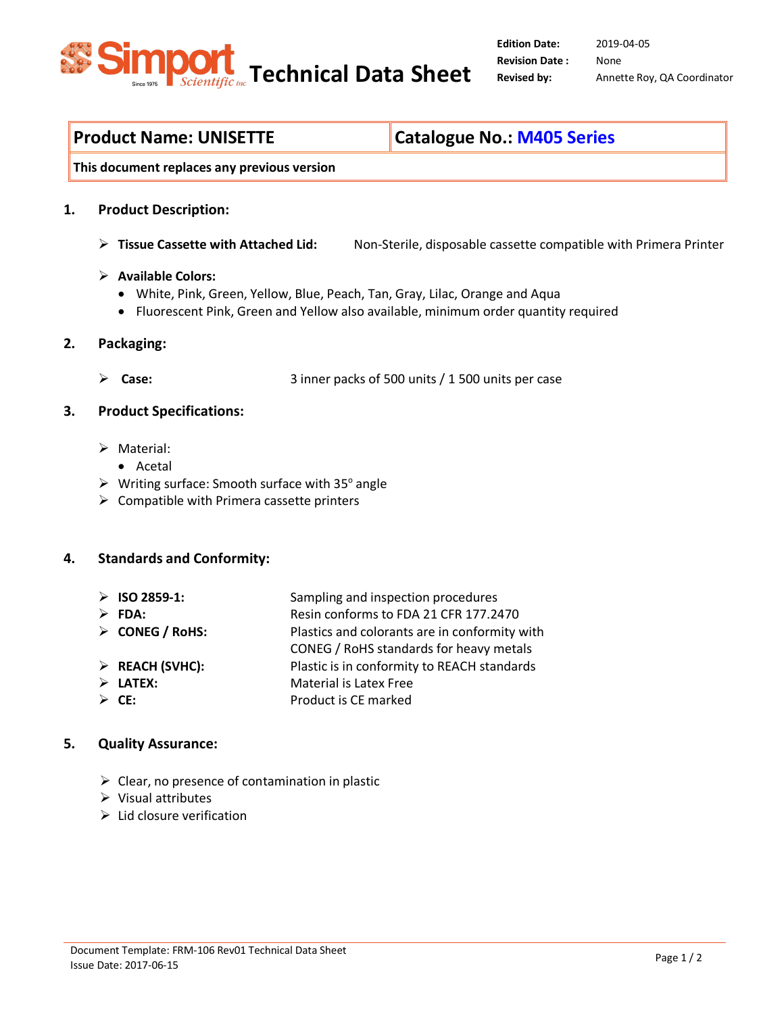

**Product Name: UNISETTE Catalogue No.: M405 Series**

**This document replaces any previous version**

### **1. Product Description:**

**Tissue Cassette with Attached Lid:** Non-Sterile, disposable cassette compatible with Primera Printer

#### **Available Colors:**

- White, Pink, Green, Yellow, Blue, Peach, Tan, Gray, Lilac, Orange and Aqua
- Fluorescent Pink, Green and Yellow also available, minimum order quantity required

### **2. Packaging:**

- **Case:** 3 inner packs of 500 units / 1 500 units per case
- **3. Product Specifications:**
	- Material:
		- Acetal
	- $\triangleright$  Writing surface: Smooth surface with 35 $^{\circ}$  angle
	- $\triangleright$  Compatible with Primera cassette printers

### **4. Standards and Conformity:**

- **ISO 2859-1:** Sampling and inspection procedures
- 
- **FDA:** Resin conforms to FDA 21 CFR 177.2470
- **CONEG / RoHS:** Plastics and colorants are in conformity with
	- CONEG / RoHS standards for heavy metals
- **REACH (SVHC):** Plastic is in conformity to REACH standards
- **LATEX:** Material is Latex Free
- **CE:** Product is CE marked

### **5. Quality Assurance:**

- $\triangleright$  Clear, no presence of contamination in plastic
- $\triangleright$  Visual attributes
- $\triangleright$  Lid closure verification